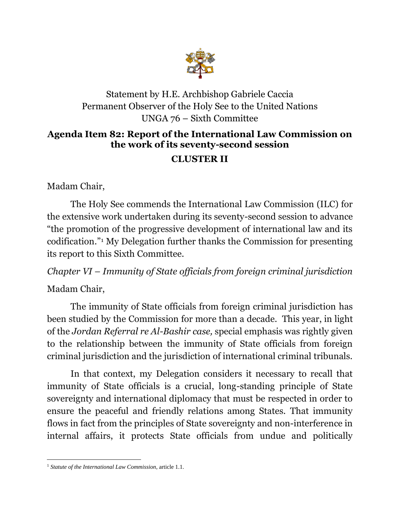

### Statement by H.E. Archbishop Gabriele Caccia Permanent Observer of the Holy See to the United Nations UNGA 76 – Sixth Committee

# **Agenda Item 82: Report of the International Law Commission on the work of its seventy-second session**

## **CLUSTER II**

Madam Chair,

The Holy See commends the International Law Commission (ILC) for the extensive work undertaken during its seventy-second session to advance "the promotion of the progressive development of international law and its codification." <sup>1</sup> My Delegation further thanks the Commission for presenting its report to this Sixth Committee.

*Chapter VI – Immunity of State officials from foreign criminal jurisdiction* 

### Madam Chair,

The immunity of State officials from foreign criminal jurisdiction has been studied by the Commission for more than a decade. This year, in light of the *Jordan Referral re Al-Bashir case,* special emphasis was rightly given to the relationship between the immunity of State officials from foreign criminal jurisdiction and the jurisdiction of international criminal tribunals.

In that context, my Delegation considers it necessary to recall that immunity of State officials is a crucial, long-standing principle of State sovereignty and international diplomacy that must be respected in order to ensure the peaceful and friendly relations among States. That immunity flows in fact from the principles of State sovereignty and non-interference in internal affairs, it protects State officials from undue and politically

<sup>1</sup> *Statute of the International Law Commission*, article 1.1.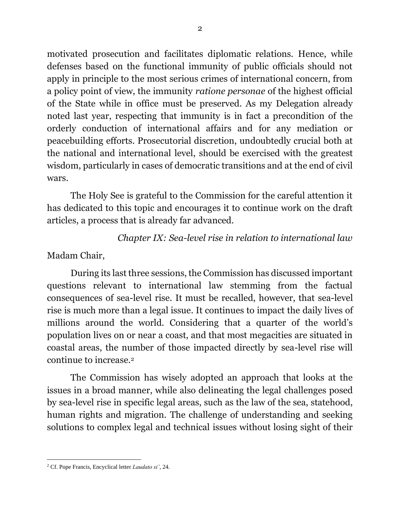motivated prosecution and facilitates diplomatic relations. Hence, while defenses based on the functional immunity of public officials should not apply in principle to the most serious crimes of international concern, from a policy point of view, the immunity *ratione personae* of the highest official of the State while in office must be preserved. As my Delegation already noted last year, respecting that immunity is in fact a precondition of the orderly conduction of international affairs and for any mediation or peacebuilding efforts. Prosecutorial discretion, undoubtedly crucial both at the national and international level, should be exercised with the greatest wisdom, particularly in cases of democratic transitions and at the end of civil wars.

The Holy See is grateful to the Commission for the careful attention it has dedicated to this topic and encourages it to continue work on the draft articles, a process that is already far advanced.

#### *Chapter IX: Sea-level rise in relation to international law*

Madam Chair,

During its last three sessions, the Commission has discussed important questions relevant to international law stemming from the factual consequences of sea-level rise. It must be recalled, however, that sea-level rise is much more than a legal issue. It continues to impact the daily lives of millions around the world. Considering that a quarter of the world's population lives on or near a coast, and that most megacities are situated in coastal areas, the number of those impacted directly by sea-level rise will continue to increase. 2

The Commission has wisely adopted an approach that looks at the issues in a broad manner, while also delineating the legal challenges posed by sea-level rise in specific legal areas, such as the law of the sea, statehood, human rights and migration. The challenge of understanding and seeking solutions to complex legal and technical issues without losing sight of their

<sup>2</sup> Cf. Pope Francis, Encyclical letter *Laudato si'*, 24.